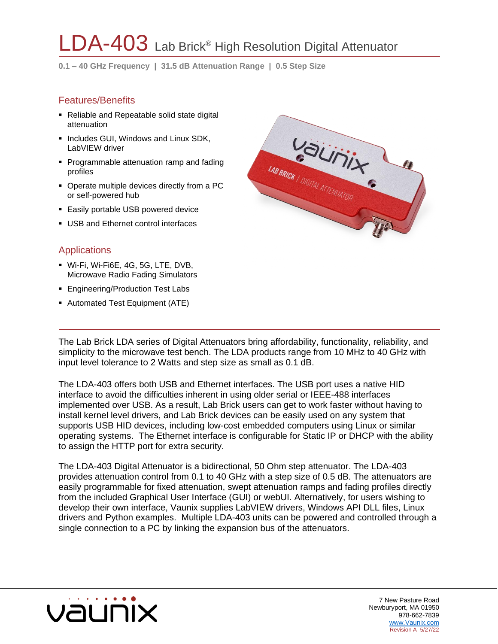# $\mathsf{LA}\text{-}403$  Lab Brick® High Resolution Digital Attenuator

**0.1 – 40 GHz Frequency | 31.5 dB Attenuation Range | 0.5 Step Size**

#### Features/Benefits

- Reliable and Repeatable solid state digital attenuation
- **.** Includes GUI, Windows and Linux SDK, LabVIEW driver
- Programmable attenuation ramp and fading profiles
- Operate multiple devices directly from a PC or self-powered hub
- **Easily portable USB powered device**
- USB and Ethernet control interfaces

#### **Applications**

- Wi-Fi, Wi-Fi6E, 4G, 5G, LTE, DVB, Microwave Radio Fading Simulators
- **Engineering/Production Test Labs**
- **E** Automated Test Equipment (ATE)



The Lab Brick LDA series of Digital Attenuators bring affordability, functionality, reliability, and simplicity to the microwave test bench. The LDA products range from 10 MHz to 40 GHz with input level tolerance to 2 Watts and step size as small as 0.1 dB.

The LDA-403 offers both USB and Ethernet interfaces. The USB port uses a native HID interface to avoid the difficulties inherent in using older serial or IEEE-488 interfaces implemented over USB. As a result, Lab Brick users can get to work faster without having to install kernel level drivers, and Lab Brick devices can be easily used on any system that supports USB HID devices, including low-cost embedded computers using Linux or similar operating systems. The Ethernet interface is configurable for Static IP or DHCP with the ability to assign the HTTP port for extra security.

The LDA-403 Digital Attenuator is a bidirectional, 50 Ohm step attenuator. The LDA-403 provides attenuation control from 0.1 to 40 GHz with a step size of 0.5 dB. The attenuators are easily programmable for fixed attenuation, swept attenuation ramps and fading profiles directly from the included Graphical User Interface (GUI) or webUI. Alternatively, for users wishing to develop their own interface, Vaunix supplies LabVIEW drivers, Windows API DLL files, Linux drivers and Python examples. Multiple LDA-403 units can be powered and controlled through a single connection to a PC by linking the expansion bus of the attenuators.

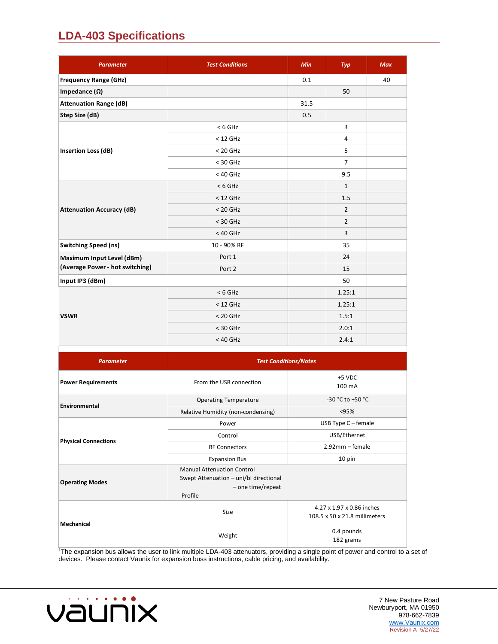# **LDA-403 Specifications**

| <b>Parameter</b>                 | <b>Test Conditions</b> | <b>Min</b> | Typ            | <b>Max</b> |
|----------------------------------|------------------------|------------|----------------|------------|
| <b>Frequency Range (GHz)</b>     |                        | 0.1        |                | 40         |
| Impedance $(\Omega)$             |                        |            | 50             |            |
| <b>Attenuation Range (dB)</b>    |                        | 31.5       |                |            |
| Step Size (dB)                   |                        | 0.5        |                |            |
|                                  | $< 6$ GHz              |            | 3              |            |
|                                  | $<$ 12 GHz             |            | 4              |            |
| <b>Insertion Loss (dB)</b>       | $< 20$ GHz             |            | 5              |            |
|                                  | $<$ 30 GHz             |            | $\overline{7}$ |            |
|                                  | $< 40 \, \rm GHz$      |            | 9.5            |            |
|                                  | $< 6$ GHz              |            | $\mathbf{1}$   |            |
|                                  | $<$ 12 GHz             |            | 1.5            |            |
| <b>Attenuation Accuracy (dB)</b> | $< 20$ GHz             |            | $\overline{2}$ |            |
|                                  | $<$ 30 GHz             |            | $\overline{2}$ |            |
|                                  | $<$ 40 GHz             |            | $\overline{3}$ |            |
| <b>Switching Speed (ns)</b>      | 10 - 90% RF            |            | 35             |            |
| Maximum Input Level (dBm)        | Port 1                 |            | 24             |            |
| (Average Power - hot switching)  | Port 2                 |            | 15             |            |
| Input IP3 (dBm)                  |                        |            | 50             |            |
|                                  | $< 6$ GHz              |            | 1.25:1         |            |
|                                  | $<$ 12 GHz             |            | 1.25:1         |            |
| <b>VSWR</b>                      | $< 20$ GHz             |            | 1.5:1          |            |
|                                  | $<$ 30 GHz             |            | 2.0:1          |            |
|                                  | $<$ 40 GHz             |            | 2.4:1          |            |

| <b>Parameter</b>            | <b>Test Conditions/Notes</b>                                                                                |                                                            |  |  |  |  |
|-----------------------------|-------------------------------------------------------------------------------------------------------------|------------------------------------------------------------|--|--|--|--|
| <b>Power Requirements</b>   | From the USB connection                                                                                     | +5 VDC<br>100 mA                                           |  |  |  |  |
| Environmental               | <b>Operating Temperature</b>                                                                                | -30 °C to +50 °C                                           |  |  |  |  |
|                             | Relative Humidity (non-condensing)                                                                          | < 95%                                                      |  |  |  |  |
|                             | Power                                                                                                       | USB Type $C$ – female                                      |  |  |  |  |
|                             | Control                                                                                                     | USB/Ethernet                                               |  |  |  |  |
| <b>Physical Connections</b> | <b>RF Connectors</b>                                                                                        | 2.92mm - female                                            |  |  |  |  |
|                             | <b>Expansion Bus</b>                                                                                        | 10 pin                                                     |  |  |  |  |
| <b>Operating Modes</b>      | <b>Manual Attenuation Control</b><br>Swept Attenuation - uni/bi directional<br>- one time/repeat<br>Profile |                                                            |  |  |  |  |
| Mechanical                  | Size                                                                                                        | 4.27 x 1.97 x 0.86 inches<br>108.5 x 50 x 21.8 millimeters |  |  |  |  |
|                             | Weight                                                                                                      | 0.4 pounds<br>182 grams                                    |  |  |  |  |

<sup>1</sup>The expansion bus allows the user to link multiple LDA-403 attenuators, providing a single point of power and control to a set of devices. Please contact Vaunix for expansion buss instructions, cable pricing, and availability.

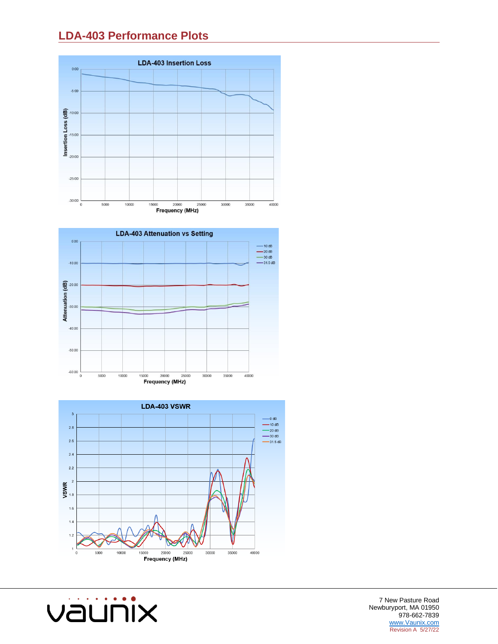## **LDA-403 Performance Plots**







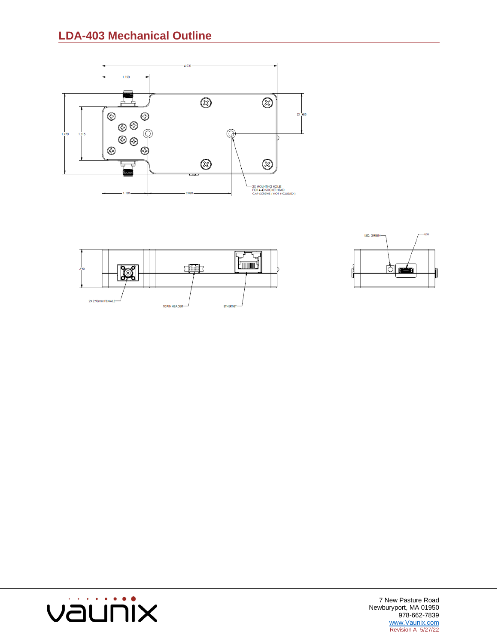